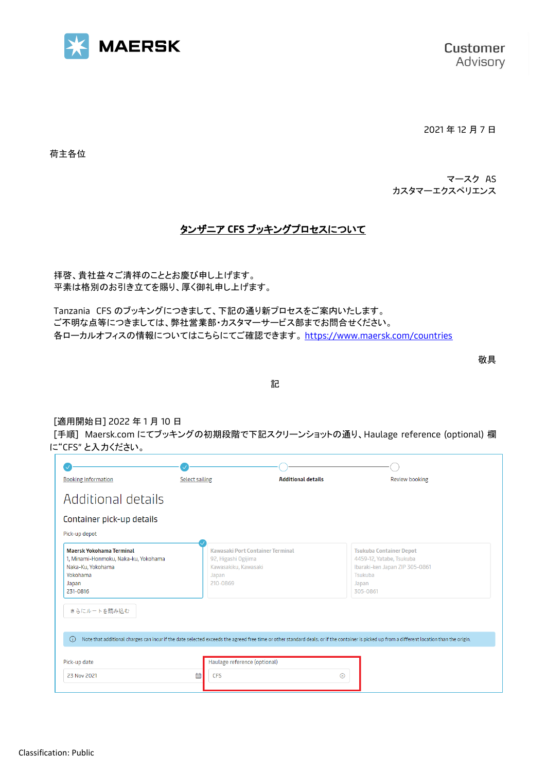

2021 年 12 月 7 日

荷主各位

マースク AS カスタマーエクスペリエンス

# タンザニア **CFS** ブッキングプロセスについて

拝啓、貴社益々ご清祥のこととお慶び申し上げます。 平素は格別のお引き立てを賜り、厚く御礼申し上げます。

Tanzania CFS のブッキングにつきまして、下記の通り新プロセスをご案内いたします。 ご不明な点等につきましては、弊社営業部・カスタマーサービス部までお問合せください。 各ローカルオフィスの情報についてはこちらにてご確認できます。 <https://www.maersk.com/countries>

敬具

記

#### [適用開始日] 2022 年 1 月 10 日

[手順] Maersk.com にてブッキングの初期段階で下記スクリーンショットの通り、Haulage reference (optional) 欄 に"CFS" と入力ください。

| <b>Booking Information</b>                                                                                                                                                                               | <b>Select sailing</b>                                            | <b>Additional details</b>        |                                                                                            | <b>Review booking</b>          |
|----------------------------------------------------------------------------------------------------------------------------------------------------------------------------------------------------------|------------------------------------------------------------------|----------------------------------|--------------------------------------------------------------------------------------------|--------------------------------|
| Additional details                                                                                                                                                                                       |                                                                  |                                  |                                                                                            |                                |
| Container pick-up details<br>Pick-up depot                                                                                                                                                               |                                                                  |                                  |                                                                                            |                                |
| <b>Maersk Yokohama Terminal</b><br>1, Minami-Honmoku, Naka-ku, Yokohama<br>Naka-Ku, Yokohama<br>Yokohama<br>Japan<br>231-0816                                                                            | 92, Higashi Ogijima<br>Kawasakiku, Kawasaki<br>Japan<br>210-0869 | Kawasaki Port Container Terminal | <b>Tsukuba Container Depot</b><br>4459-12, Yatabe, Tsukuba<br>Tsukuba<br>Japan<br>305-0861 | Ibaraki-ken Japan ZIP 305-0861 |
| さらにルートを読み込む                                                                                                                                                                                              |                                                                  |                                  |                                                                                            |                                |
| Note that additional charges can incur if the date selected exceeds the agreed free time or other standard deals; or if the container is picked up from a different location than the origin.<br>$\odot$ |                                                                  |                                  |                                                                                            |                                |
| Pick-up date                                                                                                                                                                                             | Haulage reference (optional)                                     |                                  |                                                                                            |                                |
| 23 Nov 2021                                                                                                                                                                                              | 曲<br><b>CFS</b>                                                  |                                  | $^{\circledR}$                                                                             |                                |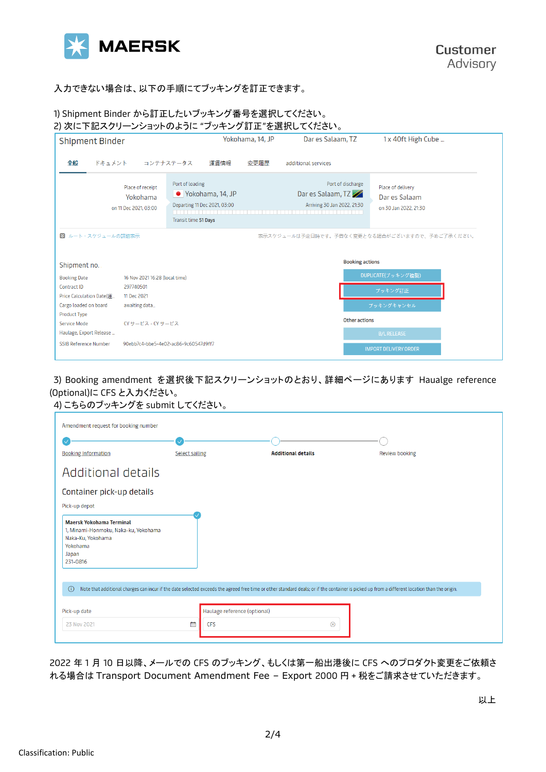

## 入力できない場合は、以下の手順にてブッキングを訂正できます。

### 1) Shipment Binder から訂正したいブッキング番号を選択してください。

| <b>Shipment Binder</b>                                  |                                                       | Yokohama, 14, JP                                                                              | Dar es Salaam, TZ                                                     | 1 x 40ft High Cube                                          |
|---------------------------------------------------------|-------------------------------------------------------|-----------------------------------------------------------------------------------------------|-----------------------------------------------------------------------|-------------------------------------------------------------|
| 全般<br>ドキュメント                                            |                                                       | コンテナステータス<br>運賃情報<br>変更履歴                                                                     | additional services                                                   |                                                             |
|                                                         | Place of receipt<br>Yokohama<br>on 11 Dec 2021, 03:00 | Port of loading<br>● Yokohama, 14, JP<br>Departing 11 Dec 2021, 03:00<br>Transit time 51 Days | Port of discharge<br>Dar es Salaam, TZ<br>Arriving 30 Jan 2022, 21:30 | Place of delivery<br>Dar es Salaam<br>on 30 Jan 2022, 21:30 |
| 図 ルート・スケジュールの詳細表示                                       |                                                       |                                                                                               |                                                                       | 表示スケジュールは予定日時です。予告なく変更となる場合がございますので、予めご了承ください。              |
| Shipment no.                                            |                                                       |                                                                                               | <b>Booking actions</b>                                                |                                                             |
| <b>Booking Date</b>                                     | 16 Nov 2021 16:28 (local time)                        |                                                                                               |                                                                       | DUPLICATE(ブッキング複製)                                          |
| Contract ID                                             | 297740501                                             |                                                                                               |                                                                       | ブッキング訂正                                                     |
| Price Calculation Date(運                                | 11 Dec 2021                                           |                                                                                               |                                                                       |                                                             |
| Cargo loaded on board                                   | awaiting data                                         |                                                                                               |                                                                       | ブッキングキャンセル                                                  |
| <b>Product Type</b>                                     | CY サービス - CY サービス                                     |                                                                                               | <b>Other actions</b>                                                  |                                                             |
|                                                         |                                                       |                                                                                               |                                                                       | <b>B/L RELEASE</b>                                          |
| Service Mode                                            |                                                       |                                                                                               |                                                                       |                                                             |
| Haulage, Export Release<br><b>SSIB Reference Number</b> |                                                       | 90ebb7c4-bbe5-4e02-ac86-9c60547d9ff7                                                          |                                                                       |                                                             |

## 3) Booking amendment を選択後下記スクリーンショットのとおり、詳細ページにあります Haualge reference (Optional)に CFS と入力ください。 4) こちらのブッキングを submit してください。

| Amendment request for booking number                                                                                   |                              |                                                                                                                                                                                               |                       |
|------------------------------------------------------------------------------------------------------------------------|------------------------------|-----------------------------------------------------------------------------------------------------------------------------------------------------------------------------------------------|-----------------------|
|                                                                                                                        |                              |                                                                                                                                                                                               |                       |
| <b>Booking Information</b>                                                                                             | <b>Select sailing</b>        | <b>Additional details</b>                                                                                                                                                                     | <b>Review booking</b> |
| Additional details                                                                                                     |                              |                                                                                                                                                                                               |                       |
| Container pick-up details                                                                                              |                              |                                                                                                                                                                                               |                       |
| Pick-up depot                                                                                                          |                              |                                                                                                                                                                                               |                       |
| Maersk Yokohama Terminal<br>1, Minami-Honmoku, Naka-ku, Yokohama<br>Naka-Ku, Yokohama<br>Yokohama<br>Japan<br>231-0816 |                              |                                                                                                                                                                                               |                       |
| $\odot$                                                                                                                |                              | Note that additional charges can incur if the date selected exceeds the agreed free time or other standard deals; or if the container is picked up from a different location than the origin. |                       |
| Pick-up date                                                                                                           | Haulage reference (optional) |                                                                                                                                                                                               |                       |
| 23 Nov 2021                                                                                                            | 曲<br><b>CFS</b>              | ⊗                                                                                                                                                                                             |                       |
|                                                                                                                        |                              |                                                                                                                                                                                               |                       |

2022 年 1 月 10 日以降、メールでの CFS のブッキング、もしくは第一船出港後に CFS へのプロダクト変更をご依頼さ れる場合は Transport Document Amendment Fee – Export 2000 円 + 税をご請求させていただきます。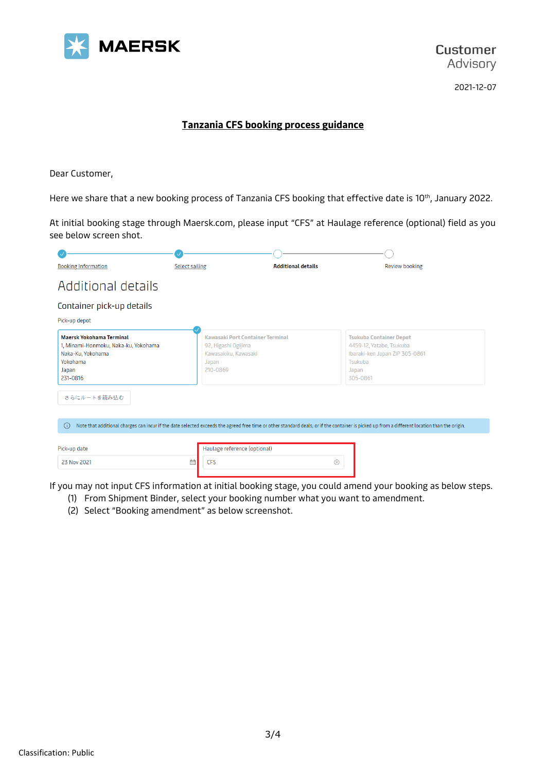

2021-12-07

### **Tanzania CFS booking process guidance**

Dear Customer,

Here we share that a new booking process of Tanzania CFS booking that effective date is 10<sup>th</sup>, January 2022.

At initial booking stage through Maersk.com, please input "CFS" at Haulage reference (optional) field as you see below screen shot.

| <b>Booking Information</b>                                                                                                    | <b>Select sailing</b>                                            | <b>Additional details</b>        | Review booking                                                                                                                                                                                |
|-------------------------------------------------------------------------------------------------------------------------------|------------------------------------------------------------------|----------------------------------|-----------------------------------------------------------------------------------------------------------------------------------------------------------------------------------------------|
| Additional details                                                                                                            |                                                                  |                                  |                                                                                                                                                                                               |
| Container pick-up details<br>Pick-up depot                                                                                    |                                                                  |                                  |                                                                                                                                                                                               |
| <b>Maersk Yokohama Terminal</b><br>1, Minami-Honmoku, Naka-ku, Yokohama<br>Naka-Ku, Yokohama<br>Yokohama<br>Japan<br>231-0816 | 92, Higashi Ogijima<br>Kawasakiku, Kawasaki<br>Japan<br>210-0869 | Kawasaki Port Container Terminal | <b>Tsukuba Container Depot</b><br>4459-12, Yatabe, Tsukuba<br>Ibaraki-ken Japan ZIP 305-0861<br>Tsukuba<br>Japan<br>305-0861                                                                  |
| さらにルートを読み込む                                                                                                                   |                                                                  |                                  |                                                                                                                                                                                               |
| (i)                                                                                                                           |                                                                  |                                  | Note that additional charges can incur if the date selected exceeds the agreed free time or other standard deals; or if the container is picked up from a different location than the origin. |
| Pick-up date                                                                                                                  | Haulage reference (optional)                                     |                                  |                                                                                                                                                                                               |
| 23 Nov 2021                                                                                                                   | 曲<br><b>CFS</b>                                                  |                                  | $\circledR$                                                                                                                                                                                   |

If you may not input CFS information at initial booking stage, you could amend your booking as below steps.

- (1) From Shipment Binder, select your booking number what you want to amendment.
- (2) Select "Booking amendment" as below screenshot.